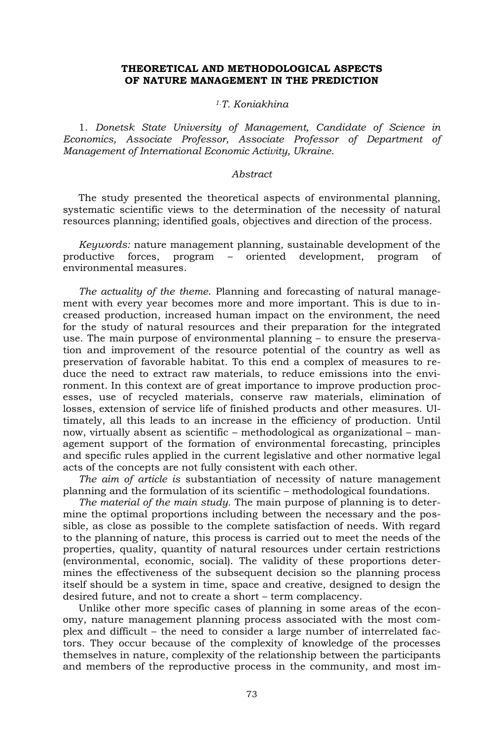## **THEORETICAL AND METHODOLOGICAL ASPECTS OF NATURE MANAGEMENT IN THE PREDICTION**

## *1.T. Koniakhina*

1. *Donetsk State University of Management, Candidate of Science in Economics, Associate Professor, Associate Professor of Department of Management of International Economic Activity, Ukraine.*

## *Abstract*

The study presented the theoretical aspects of environmental planning, systematic scientific views to the determination of the necessity of natural resources planning; identified goals, objectives and direction of the process.

*Keywords:* nature management planning, sustainable development of the productive forces, program – oriented development, program of environmental measures.

*The actuality of the theme.* Planning and forecasting of natural management with every year becomes more and more important. This is due to increased production, increased human impact on the environment, the need for the study of natural resources and their preparation for the integrated use. The main purpose of environmental planning – to ensure the preservation and improvement of the resource potential of the country as well as preservation of favorable habitat. To this end a complex of measures to reduce the need to extract raw materials, to reduce emissions into the environment. In this context are of great importance to improve production processes, use of recycled materials, conserve raw materials, elimination of losses, extension of service life of finished products and other measures. Ultimately, all this leads to an increase in the efficiency of production. Until now, virtually absent as scientific – methodological as organizational – management support of the formation of environmental forecasting, principles and specific rules applied in the current legislative and other normative legal acts of the concepts are not fully consistent with each other.

*The aim of article is* substantiation of necessity of nature management planning and the formulation of its scientific – methodological foundations.

*The material of the main study.* The main purpose of planning is to determine the optimal proportions including between the necessary and the possible, as close as possible to the complete satisfaction of needs. With regard to the planning of nature, this process is carried out to meet the needs of the properties, quality, quantity of natural resources under certain restrictions (environmental, economic, social). The validity of these proportions determines the effectiveness of the subsequent decision so the planning process itself should be a system in time, space and creative, designed to design the desired future, and not to create a short – term complacency.

Unlike other more specific cases of planning in some areas of the economy, nature management planning process associated with the most complex and difficult – the need to consider a large number of interrelated factors. They occur because of the complexity of knowledge of the processes themselves in nature, complexity of the relationship between the participants and members of the reproductive process in the community, and most im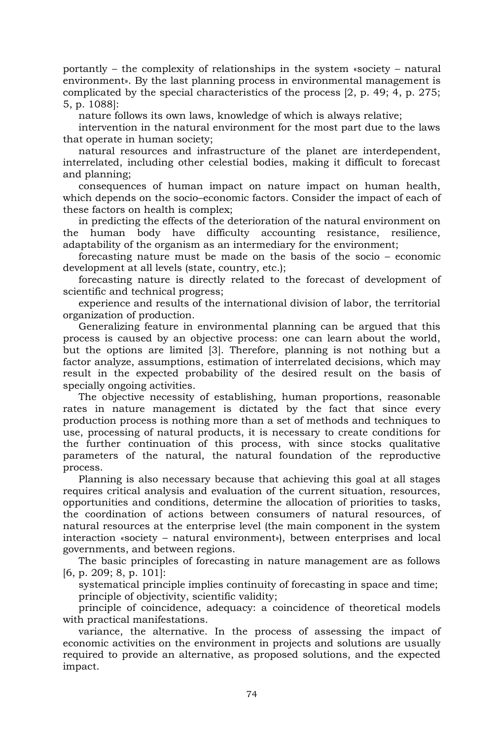portantly – the complexity of relationships in the system «society – natural environment». By the last planning process in environmental management is complicated by the special characteristics of the process [2, p. 49; 4, p. 275; 5, p. 1088]:

nature follows its own laws, knowledge of which is always relative;

intervention in the natural environment for the most part due to the laws that operate in human society;

natural resources and infrastructure of the planet are interdependent, interrelated, including other celestial bodies, making it difficult to forecast and planning;

consequences of human impact on nature impact on human health, which depends on the socio–economic factors. Consider the impact of each of these factors on health is complex;

in predicting the effects of the deterioration of the natural environment on the human body have difficulty accounting resistance, resilience, adaptability of the organism as an intermediary for the environment;

forecasting nature must be made on the basis of the socio – economic development at all levels (state, country, etc.);

forecasting nature is directly related to the forecast of development of scientific and technical progress;

experience and results of the international division of labor, the territorial organization of production.

Generalizing feature in environmental planning can be argued that this process is caused by an objective process: one can learn about the world, but the options are limited [3]. Therefore, planning is not nothing but a factor analyze, assumptions, estimation of interrelated decisions, which may result in the expected probability of the desired result on the basis of specially ongoing activities.

The objective necessity of establishing, human proportions, reasonable rates in nature management is dictated by the fact that since every production process is nothing more than a set of methods and techniques to use, processing of natural products, it is necessary to create conditions for the further continuation of this process, with since stocks qualitative parameters of the natural, the natural foundation of the reproductive process.

Planning is also necessary because that achieving this goal at all stages requires critical analysis and evaluation of the current situation, resources, opportunities and conditions, determine the allocation of priorities to tasks, the coordination of actions between consumers of natural resources, of natural resources at the enterprise level (the main component in the system interaction «society – natural environment»), between enterprises and local governments, and between regions.

The basic principles of forecasting in nature management are as follows [6, p. 209; 8, p. 101]:

systematical principle implies continuity of forecasting in space and time; principle of objectivity, scientific validity;

principle of coincidence, adequacy: a coincidence of theoretical models with practical manifestations.

variance, the alternative. In the process of assessing the impact of economic activities on the environment in projects and solutions are usually required to provide an alternative, as proposed solutions, and the expected impact.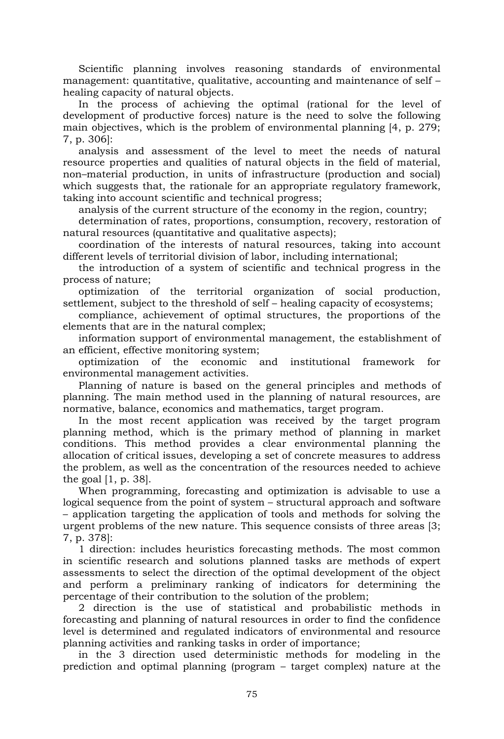Scientific planning involves reasoning standards of environmental management: quantitative, qualitative, accounting and maintenance of self – healing capacity of natural objects.

In the process of achieving the optimal (rational for the level of development of productive forces) nature is the need to solve the following main objectives, which is the problem of environmental planning [4, p. 279; 7, p. 306]:

analysis and assessment of the level to meet the needs of natural resource properties and qualities of natural objects in the field of material, non–material production, in units of infrastructure (production and social) which suggests that, the rationale for an appropriate regulatory framework, taking into account scientific and technical progress;

analysis of the current structure of the economy in the region, country;

determination of rates, proportions, consumption, recovery, restoration of natural resources (quantitative and qualitative aspects);

coordination of the interests of natural resources, taking into account different levels of territorial division of labor, including international;

the introduction of a system of scientific and technical progress in the process of nature;

optimization of the territorial organization of social production, settlement, subject to the threshold of self – healing capacity of ecosystems;

compliance, achievement of optimal structures, the proportions of the elements that are in the natural complex;

information support of environmental management, the establishment of an efficient, effective monitoring system;

optimization of the economic and institutional framework for environmental management activities.

Planning of nature is based on the general principles and methods of planning. The main method used in the planning of natural resources, are normative, balance, economics and mathematics, target program.

In the most recent application was received by the target program planning method, which is the primary method of planning in market conditions. This method provides a clear environmental planning the allocation of critical issues, developing a set of concrete measures to address the problem, as well as the concentration of the resources needed to achieve the goal [1, p. 38].

When programming, forecasting and optimization is advisable to use a logical sequence from the point of system – structural approach and software – application targeting the application of tools and methods for solving the urgent problems of the new nature. This sequence consists of three areas [3; 7, p. 378]:

1 direction: includes heuristics forecasting methods. The most common in scientific research and solutions planned tasks are methods of expert assessments to select the direction of the optimal development of the object and perform a preliminary ranking of indicators for determining the percentage of their contribution to the solution of the problem;

2 direction is the use of statistical and probabilistic methods in forecasting and planning of natural resources in order to find the confidence level is determined and regulated indicators of environmental and resource planning activities and ranking tasks in order of importance;

in the 3 direction used deterministic methods for modeling in the prediction and optimal planning (program – target complex) nature at the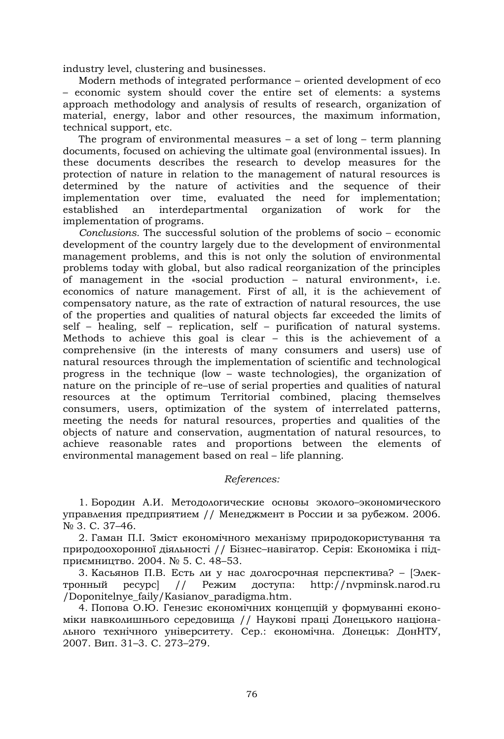industry level, clustering and businesses.

Modern methods of integrated performance – oriented development of eco – economic system should cover the entire set of elements: a systems approach methodology and analysis of results of research, organization of material, energy, labor and other resources, the maximum information, technical support, etc.

The program of environmental measures  $-$  a set of long  $-$  term planning documents, focused on achieving the ultimate goal (environmental issues). In these documents describes the research to develop measures for the protection of nature in relation to the management of natural resources is determined by the nature of activities and the sequence of their implementation over time, evaluated the need for implementation; established an interdepartmental organization of work for the implementation of programs.

*Conclusions.* The successful solution of the problems of socio – economic development of the country largely due to the development of environmental management problems, and this is not only the solution of environmental problems today with global, but also radical reorganization of the principles of management in the «social production – natural environment», i.e. economics of nature management. First of all, it is the achievement of compensatory nature, as the rate of extraction of natural resources, the use of the properties and qualities of natural objects far exceeded the limits of self – healing, self – replication, self – purification of natural systems. Methods to achieve this goal is clear – this is the achievement of a comprehensive (in the interests of many consumers and users) use of natural resources through the implementation of scientific and technological progress in the technique (low – waste technologies), the organization of nature on the principle of re–use of serial properties and qualities of natural resources at the optimum Territorial combined, placing themselves consumers, users, optimization of the system of interrelated patterns, meeting the needs for natural resources, properties and qualities of the objects of nature and conservation, augmentation of natural resources, to achieve reasonable rates and proportions between the elements of environmental management based on real – life planning.

## *References:*

1. Бородин А.И. Методологические основы эколого–экономического управления предприятием // Менеджмент в России и за рубежом. 2006. № 3. С. 37–46.

2. Гаман П.І. Зміст економічного механізму природокористування та природоохоронної діяльності // Бізнес–навігатор. Серія: Економіка і підприємництво. 2004. № 5. С. 48–53.

3. Касьянов П.В. Есть ли у нас долгосрочная перспектива? – [Электронный ресурс] // Режим доступа: http://nvpminsk.narod.ru /Doponitelnye\_faily/Kasianov\_paradigma.htm.

4. Попова О.Ю. Генезис економічних концепцій у формуванні економіки навколишнього середовища // Наукові праці Донецького національного технічного університету. Сер.: економічна. Донецьк: ДонНТУ, 2007. Вип. 31–3. С. 273–279.